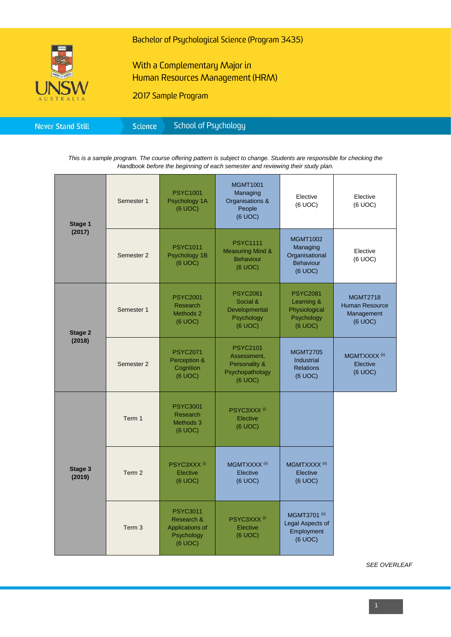

Bachelor of Psychological Science (Program 3435)

# With a Complementary Major in Human Resources Management (HRM)

2017 Sample Program

| <b>Never Stand Still</b> | Science | School of Psychology |  |
|--------------------------|---------|----------------------|--|
|--------------------------|---------|----------------------|--|

*This is a sample program. The course offering pattern is subject to change. Students are responsible for checking the Handbook before the beginning of each semester and reviewing their study plan.*

| Stage 1<br>(2017)        | Semester 1        | <b>PSYC1001</b><br>Psychology 1A<br>(6 UOC)                               | <b>MGMT1001</b><br>Managing<br>Organisations &<br>People<br>(6 UOC)           | Elective<br>(6 UOC)                                                          | Elective<br>(6 UOC)                                               |
|--------------------------|-------------------|---------------------------------------------------------------------------|-------------------------------------------------------------------------------|------------------------------------------------------------------------------|-------------------------------------------------------------------|
|                          | Semester 2        | <b>PSYC1011</b><br>Psychology 1B<br>(6 UOC)                               | <b>PSYC1111</b><br><b>Measuring Mind &amp;</b><br><b>Behaviour</b><br>(6 UOC) | <b>MGMT1002</b><br>Managing<br>Organisational<br><b>Behaviour</b><br>(6 UOC) | Elective<br>(6 UOC)                                               |
| <b>Stage 2</b><br>(2018) | Semester 1        | <b>PSYC2001</b><br><b>Research</b><br>Methods 2<br>(6 UOC)                | <b>PSYC2061</b><br>Social &<br>Developmental<br>Psychology<br>$(6$ UOC $)$    | <b>PSYC2081</b><br>Learning &<br>Physiological<br>Psychology<br>(6 UOC)      | <b>MGMT2718</b><br><b>Human Resource</b><br>Management<br>(6 UOC) |
|                          | Semester 2        | <b>PSYC2071</b><br>Perception &<br>Cognition<br>(6 UOC)                   | <b>PSYC2101</b><br>Assessment,<br>Personality &<br>Psychopathology<br>(6 UOC) | <b>MGMT2705</b><br>Industrial<br><b>Relations</b><br>(6 UOC)                 | MGMTXXXX <sup>(ii)</sup><br>Elective<br>(6 UOC)                   |
| Stage 3<br>(2019)        | Term 1            | <b>PSYC3001</b><br>Research<br>Methods 3<br>(6 UOC)                       | PSYC3XXX <sup>(i)</sup><br>Elective<br>(6 UOC)                                |                                                                              |                                                                   |
|                          | Term <sub>2</sub> | PSYC3XXX <sup>(i)</sup><br>Elective<br>(6 UOC)                            | MGMTXXXX <sup>(ii)</sup><br>Elective<br>(6 UOC)                               | MGMTXXXX <sup>(ii)</sup><br>Elective<br>(6 UOC)                              |                                                                   |
|                          | Term 3            | <b>PSYC3011</b><br>Research &<br>Applications of<br>Psychology<br>(6 UOC) | PSYC3XXX <sup>(i)</sup><br>Elective<br>(6 UOC)                                | MGMT3701 <sup>(ii)</sup><br>Legal Aspects of<br>Employment<br>(6 UOC)        |                                                                   |

*SEE OVERLEAF*